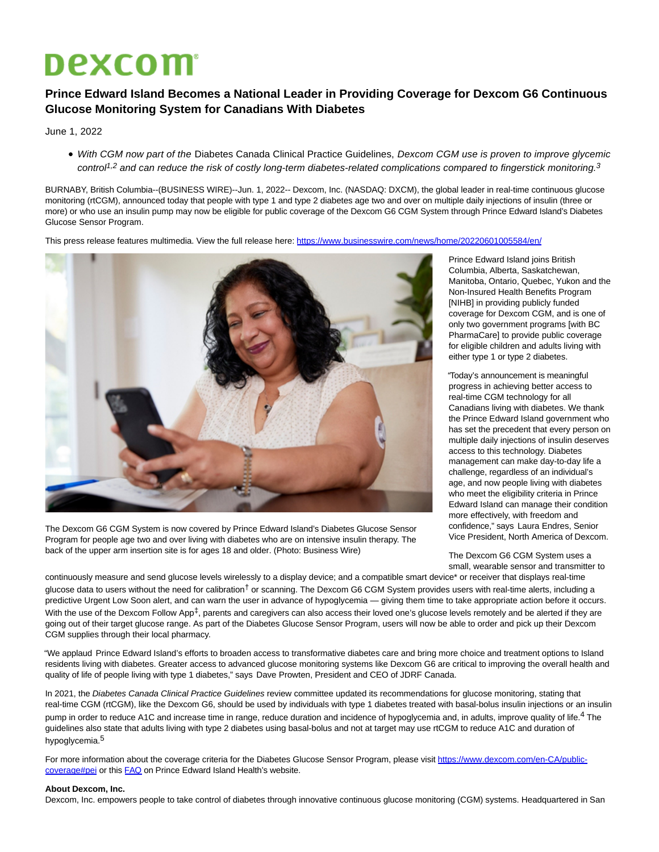## **Dexcom**

## **Prince Edward Island Becomes a National Leader in Providing Coverage for Dexcom G6 Continuous Glucose Monitoring System for Canadians With Diabetes**

June 1, 2022

With CGM now part of the Diabetes Canada Clinical Practice Guidelines, Dexcom CGM use is proven to improve glycemic control<sup>1,2</sup> and can reduce the risk of costly long-term diabetes-related complications compared to fingerstick monitoring.<sup>3</sup>

BURNABY, British Columbia--(BUSINESS WIRE)--Jun. 1, 2022-- Dexcom, Inc. (NASDAQ: DXCM), the global leader in real-time continuous glucose monitoring (rtCGM), announced today that people with type 1 and type 2 diabetes age two and over on multiple daily injections of insulin (three or more) or who use an insulin pump may now be eligible for public coverage of the Dexcom G6 CGM System through Prince Edward Island's Diabetes Glucose Sensor Program.

This press release features multimedia. View the full release here:<https://www.businesswire.com/news/home/20220601005584/en/>



The Dexcom G6 CGM System is now covered by Prince Edward Island's Diabetes Glucose Sensor Program for people age two and over living with diabetes who are on intensive insulin therapy. The back of the upper arm insertion site is for ages 18 and older. (Photo: Business Wire)

Prince Edward Island joins British Columbia, Alberta, Saskatchewan, Manitoba, Ontario, Quebec, Yukon and the Non-Insured Health Benefits Program [NIHB] in providing publicly funded coverage for Dexcom CGM, and is one of only two government programs [with BC PharmaCare] to provide public coverage for eligible children and adults living with either type 1 or type 2 diabetes.

"Today's announcement is meaningful progress in achieving better access to real-time CGM technology for all Canadians living with diabetes. We thank the Prince Edward Island government who has set the precedent that every person on multiple daily injections of insulin deserves access to this technology. Diabetes management can make day-to-day life a challenge, regardless of an individual's age, and now people living with diabetes who meet the eligibility criteria in Prince Edward Island can manage their condition more effectively, with freedom and confidence," says Laura Endres, Senior Vice President, North America of Dexcom.

The Dexcom G6 CGM System uses a small, wearable sensor and transmitter to

continuously measure and send glucose levels wirelessly to a display device; and a compatible smart device\* or receiver that displays real-time glucose data to users without the need for calibration<sup>†</sup> or scanning. The Dexcom G6 CGM System provides users with real-time alerts, including a predictive Urgent Low Soon alert, and can warn the user in advance of hypoglycemia — giving them time to take appropriate action before it occurs. With the use of the Dexcom Follow App<sup>‡</sup>, parents and caregivers can also access their loved one's glucose levels remotely and be alerted if they are going out of their target glucose range. As part of the Diabetes Glucose Sensor Program, users will now be able to order and pick up their Dexcom CGM supplies through their local pharmacy.

"We applaud Prince Edward Island's efforts to broaden access to transformative diabetes care and bring more choice and treatment options to Island residents living with diabetes. Greater access to advanced glucose monitoring systems like Dexcom G6 are critical to improving the overall health and quality of life of people living with type 1 diabetes," says Dave Prowten, President and CEO of JDRF Canada.

In 2021, the Diabetes Canada Clinical Practice Guidelines review committee updated its recommendations for glucose monitoring, stating that real-time CGM (rtCGM), like the Dexcom G6, should be used by individuals with type 1 diabetes treated with basal-bolus insulin injections or an insulin pump in order to reduce A1C and increase time in range, reduce duration and incidence of hypoglycemia and, in adults, improve quality of life.<sup>4</sup> The guidelines also state that adults living with type 2 diabetes using basal-bolus and not at target may use rtCGM to reduce A1C and duration of hypoglycemia.5

For more information about the coverage criteria for the Diabetes Glucose Sensor Program, please visit [https://www.dexcom.com/en-CA/public](https://cts.businesswire.com/ct/CT?id=smartlink&url=https%3A%2F%2Fwww.dexcom.com%2Fen-CA%2Fpublic-coverage%23pei&esheet=52736243&newsitemid=20220601005584&lan=en-US&anchor=https%3A%2F%2Fwww.dexcom.com%2Fen-CA%2Fpublic-coverage%23pei&index=1&md5=850fbaf9b08c67372564930e7072b3a2)coverage#pei or this [FAQ o](https://cts.businesswire.com/ct/CT?id=smartlink&url=https%3A%2F%2Fwww.princeedwardisland.ca%2Fen%2Finformation%2Fhealth-pei%2Fglucose-sensor-program&esheet=52736243&newsitemid=20220601005584&lan=en-US&anchor=FAQ&index=2&md5=ad93e8c8613d61269b18c6fc44fec8f7)n Prince Edward Island Health's website.

## **About Dexcom, Inc.**

Dexcom, Inc. empowers people to take control of diabetes through innovative continuous glucose monitoring (CGM) systems. Headquartered in San